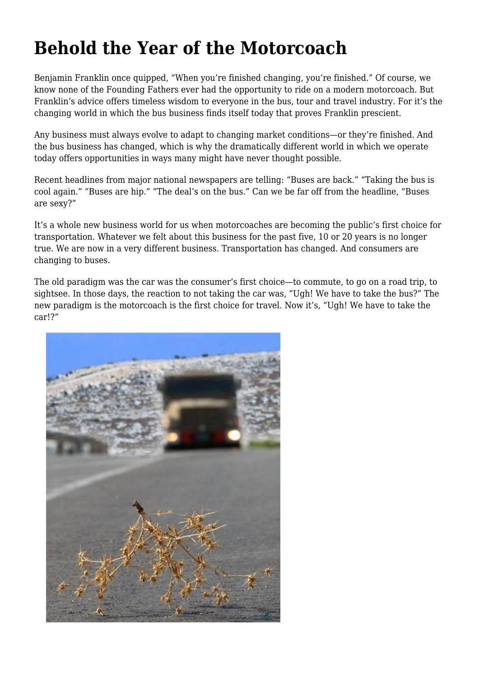## **Behold the Year of the Motorcoach**

Benjamin Franklin once quipped, "When you're finished changing, you're finished." Of course, we know none of the Founding Fathers ever had the opportunity to ride on a modern motorcoach. But Franklin's advice offers timeless wisdom to everyone in the bus, tour and travel industry. For it's the changing world in which the bus business finds itself today that proves Franklin prescient.

Any business must always evolve to adapt to changing market conditions—or they're finished. And the bus business has changed, which is why the dramatically different world in which we operate today offers opportunities in ways many might have never thought possible.

Recent headlines from major national newspapers are telling: "Buses are back." "Taking the bus is cool again." "Buses are hip." "The deal's on the bus." Can we be far off from the headline, "Buses are sexy?"

It's a whole new business world for us when motorcoaches are becoming the public's first choice for transportation. Whatever we felt about this business for the past five, 10 or 20 years is no longer true. We are now in a very different business. Transportation has changed. And consumers are changing to buses.

The old paradigm was the car was the consumer's first choice—to commute, to go on a road trip, to sightsee. In those days, the reaction to not taking the car was, "Ugh! We have to take the bus?" The new paradigm is the motorcoach is the first choice for travel. Now it's, "Ugh! We have to take the car!?"

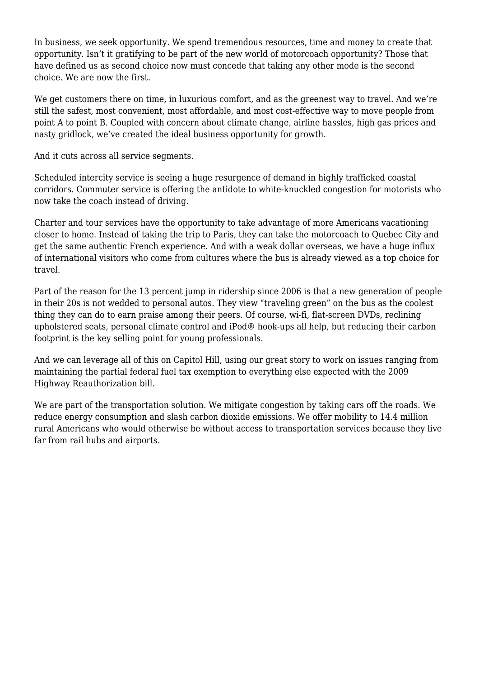In business, we seek opportunity. We spend tremendous resources, time and money to create that opportunity. Isn't it gratifying to be part of the new world of motorcoach opportunity? Those that have defined us as second choice now must concede that taking any other mode is the second choice. We are now the first.

We get customers there on time, in luxurious comfort, and as the greenest way to travel. And we're still the safest, most convenient, most affordable, and most cost-effective way to move people from point A to point B. Coupled with concern about climate change, airline hassles, high gas prices and nasty gridlock, we've created the ideal business opportunity for growth.

And it cuts across all service segments.

Scheduled intercity service is seeing a huge resurgence of demand in highly trafficked coastal corridors. Commuter service is offering the antidote to white-knuckled congestion for motorists who now take the coach instead of driving.

Charter and tour services have the opportunity to take advantage of more Americans vacationing closer to home. Instead of taking the trip to Paris, they can take the motorcoach to Quebec City and get the same authentic French experience. And with a weak dollar overseas, we have a huge influx of international visitors who come from cultures where the bus is already viewed as a top choice for travel.

Part of the reason for the 13 percent jump in ridership since 2006 is that a new generation of people in their 20s is not wedded to personal autos. They view "traveling green" on the bus as the coolest thing they can do to earn praise among their peers. Of course, wi-fi, flat-screen DVDs, reclining upholstered seats, personal climate control and iPod® hook-ups all help, but reducing their carbon footprint is the key selling point for young professionals.

And we can leverage all of this on Capitol Hill, using our great story to work on issues ranging from maintaining the partial federal fuel tax exemption to everything else expected with the 2009 Highway Reauthorization bill.

We are part of the transportation solution. We mitigate congestion by taking cars off the roads. We reduce energy consumption and slash carbon dioxide emissions. We offer mobility to 14.4 million rural Americans who would otherwise be without access to transportation services because they live far from rail hubs and airports.